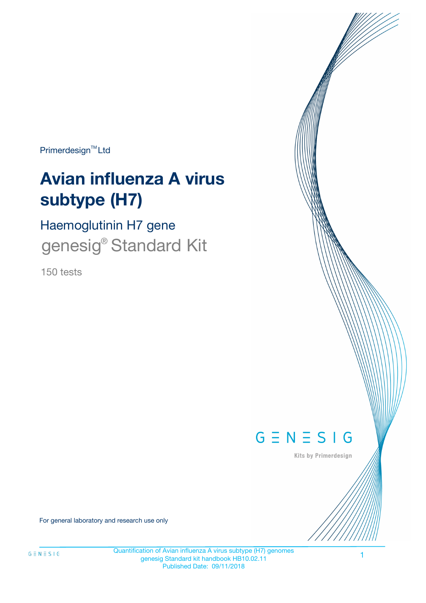Primerdesign<sup>™</sup>Ltd

# **Avian influenza A virus subtype (H7)**

Haemoglutinin H7 gene genesig<sup>®</sup> Standard Kit

150 tests



Kits by Primerdesign

For general laboratory and research use only

Quantification of Avian influenza A virus subtype (H7) genomes genesig Standard kit handbook HB10.02.11 Published Date: 09/11/2018

1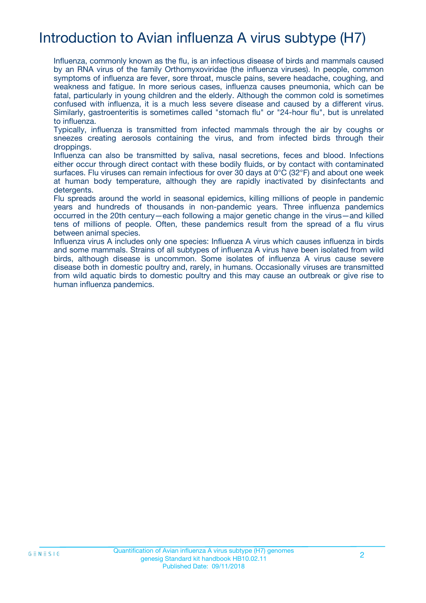# Introduction to Avian influenza A virus subtype (H7)

Influenza, commonly known as the flu, is an infectious disease of birds and mammals caused by an RNA virus of the family Orthomyxoviridae (the influenza viruses). In people, common symptoms of influenza are fever, sore throat, muscle pains, severe headache, coughing, and weakness and fatigue. In more serious cases, influenza causes pneumonia, which can be fatal, particularly in young children and the elderly. Although the common cold is sometimes confused with influenza, it is a much less severe disease and caused by a different virus. Similarly, gastroenteritis is sometimes called "stomach flu" or "24-hour flu", but is unrelated to influenza.

Typically, influenza is transmitted from infected mammals through the air by coughs or sneezes creating aerosols containing the virus, and from infected birds through their droppings.

Influenza can also be transmitted by saliva, nasal secretions, feces and blood. Infections either occur through direct contact with these bodily fluids, or by contact with contaminated surfaces. Flu viruses can remain infectious for over 30 days at 0°C (32°F) and about one week at human body temperature, although they are rapidly inactivated by disinfectants and detergents.

Flu spreads around the world in seasonal epidemics, killing millions of people in pandemic years and hundreds of thousands in non-pandemic years. Three influenza pandemics occurred in the 20th century—each following a major genetic change in the virus—and killed tens of millions of people. Often, these pandemics result from the spread of a flu virus between animal species.

Influenza virus A includes only one species: Influenza A virus which causes influenza in birds and some mammals. Strains of all subtypes of influenza A virus have been isolated from wild birds, although disease is uncommon. Some isolates of influenza A virus cause severe disease both in domestic poultry and, rarely, in humans. Occasionally viruses are transmitted from wild aquatic birds to domestic poultry and this may cause an outbreak or give rise to human influenza pandemics.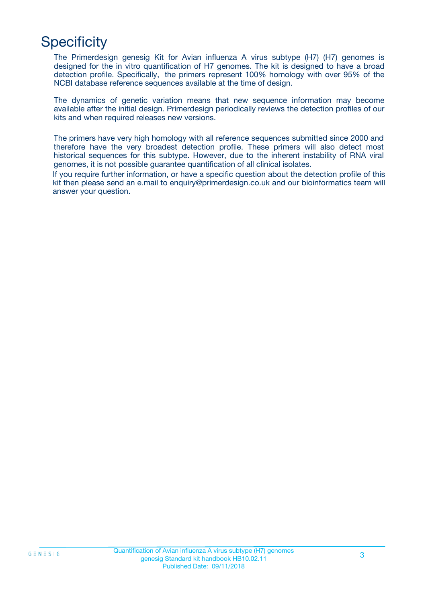# **Specificity**

The Primerdesign genesig Kit for Avian influenza A virus subtype (H7) (H7) genomes is designed for the in vitro quantification of H7 genomes. The kit is designed to have a broad detection profile. Specifically, the primers represent 100% homology with over 95% of the NCBI database reference sequences available at the time of design.

The dynamics of genetic variation means that new sequence information may become available after the initial design. Primerdesign periodically reviews the detection profiles of our kits and when required releases new versions.

The primers have very high homology with all reference sequences submitted since 2000 and therefore have the very broadest detection profile. These primers will also detect most historical sequences for this subtype. However, due to the inherent instability of RNA viral genomes, it is not possible guarantee quantification of all clinical isolates.

If you require further information, or have a specific question about the detection profile of this kit then please send an e.mail to enquiry@primerdesign.co.uk and our bioinformatics team will answer your question.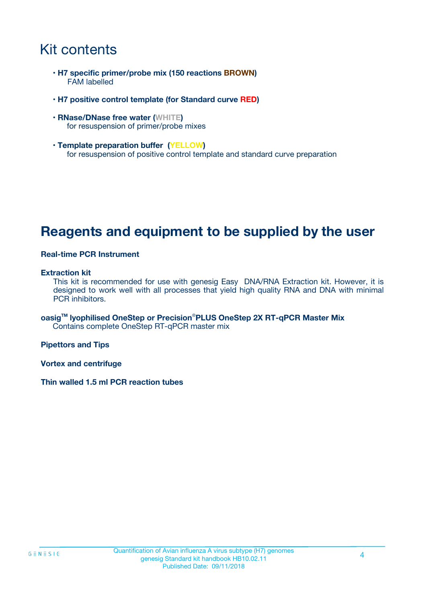# Kit contents

- **H7 specific primer/probe mix (150 reactions BROWN)** FAM labelled
- **H7 positive control template (for Standard curve RED)**
- **RNase/DNase free water (WHITE)** for resuspension of primer/probe mixes
- **Template preparation buffer (YELLOW)** for resuspension of positive control template and standard curve preparation

### **Reagents and equipment to be supplied by the user**

#### **Real-time PCR Instrument**

#### **Extraction kit**

This kit is recommended for use with genesig Easy DNA/RNA Extraction kit. However, it is designed to work well with all processes that yield high quality RNA and DNA with minimal PCR inhibitors.

**oasigTM lyophilised OneStep or Precision**®**PLUS OneStep 2X RT-qPCR Master Mix** Contains complete OneStep RT-qPCR master mix

**Pipettors and Tips**

**Vortex and centrifuge**

**Thin walled 1.5 ml PCR reaction tubes**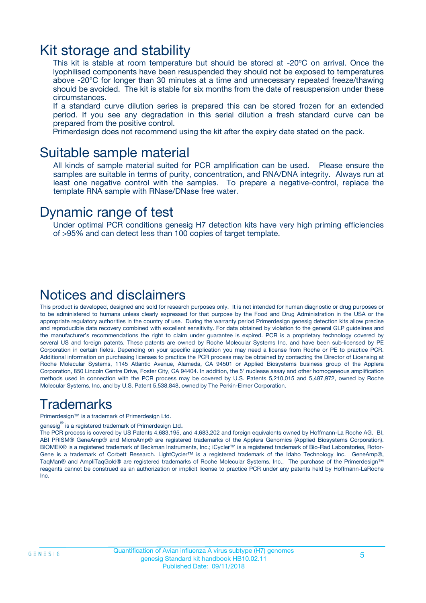### Kit storage and stability

This kit is stable at room temperature but should be stored at -20ºC on arrival. Once the lyophilised components have been resuspended they should not be exposed to temperatures above -20°C for longer than 30 minutes at a time and unnecessary repeated freeze/thawing should be avoided. The kit is stable for six months from the date of resuspension under these circumstances.

If a standard curve dilution series is prepared this can be stored frozen for an extended period. If you see any degradation in this serial dilution a fresh standard curve can be prepared from the positive control.

Primerdesign does not recommend using the kit after the expiry date stated on the pack.

### Suitable sample material

All kinds of sample material suited for PCR amplification can be used. Please ensure the samples are suitable in terms of purity, concentration, and RNA/DNA integrity. Always run at least one negative control with the samples. To prepare a negative-control, replace the template RNA sample with RNase/DNase free water.

### Dynamic range of test

Under optimal PCR conditions genesig H7 detection kits have very high priming efficiencies of >95% and can detect less than 100 copies of target template.

### Notices and disclaimers

This product is developed, designed and sold for research purposes only. It is not intended for human diagnostic or drug purposes or to be administered to humans unless clearly expressed for that purpose by the Food and Drug Administration in the USA or the appropriate regulatory authorities in the country of use. During the warranty period Primerdesign genesig detection kits allow precise and reproducible data recovery combined with excellent sensitivity. For data obtained by violation to the general GLP guidelines and the manufacturer's recommendations the right to claim under guarantee is expired. PCR is a proprietary technology covered by several US and foreign patents. These patents are owned by Roche Molecular Systems Inc. and have been sub-licensed by PE Corporation in certain fields. Depending on your specific application you may need a license from Roche or PE to practice PCR. Additional information on purchasing licenses to practice the PCR process may be obtained by contacting the Director of Licensing at Roche Molecular Systems, 1145 Atlantic Avenue, Alameda, CA 94501 or Applied Biosystems business group of the Applera Corporation, 850 Lincoln Centre Drive, Foster City, CA 94404. In addition, the 5' nuclease assay and other homogeneous amplification methods used in connection with the PCR process may be covered by U.S. Patents 5,210,015 and 5,487,972, owned by Roche Molecular Systems, Inc, and by U.S. Patent 5,538,848, owned by The Perkin-Elmer Corporation.

### Trademarks

Primerdesign™ is a trademark of Primerdesign Ltd.

genesig $^\circledR$  is a registered trademark of Primerdesign Ltd.

The PCR process is covered by US Patents 4,683,195, and 4,683,202 and foreign equivalents owned by Hoffmann-La Roche AG. BI, ABI PRISM® GeneAmp® and MicroAmp® are registered trademarks of the Applera Genomics (Applied Biosystems Corporation). BIOMEK® is a registered trademark of Beckman Instruments, Inc.; iCycler™ is a registered trademark of Bio-Rad Laboratories, Rotor-Gene is a trademark of Corbett Research. LightCycler™ is a registered trademark of the Idaho Technology Inc. GeneAmp®, TaqMan® and AmpliTaqGold® are registered trademarks of Roche Molecular Systems, Inc., The purchase of the Primerdesign™ reagents cannot be construed as an authorization or implicit license to practice PCR under any patents held by Hoffmann-LaRoche Inc.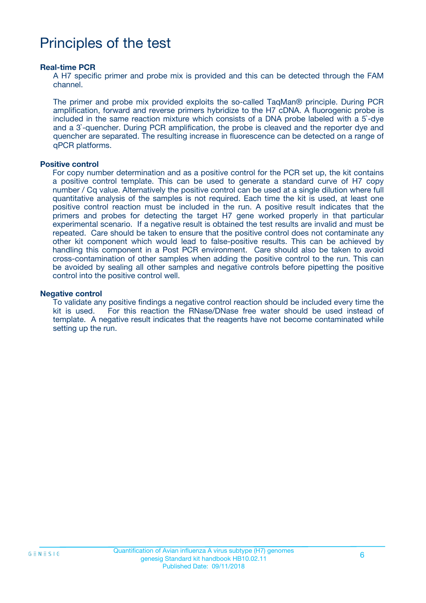# Principles of the test

#### **Real-time PCR**

A H7 specific primer and probe mix is provided and this can be detected through the FAM channel.

The primer and probe mix provided exploits the so-called TaqMan® principle. During PCR amplification, forward and reverse primers hybridize to the H7 cDNA. A fluorogenic probe is included in the same reaction mixture which consists of a DNA probe labeled with a 5`-dye and a 3`-quencher. During PCR amplification, the probe is cleaved and the reporter dye and quencher are separated. The resulting increase in fluorescence can be detected on a range of qPCR platforms.

#### **Positive control**

For copy number determination and as a positive control for the PCR set up, the kit contains a positive control template. This can be used to generate a standard curve of H7 copy number / Cq value. Alternatively the positive control can be used at a single dilution where full quantitative analysis of the samples is not required. Each time the kit is used, at least one positive control reaction must be included in the run. A positive result indicates that the primers and probes for detecting the target H7 gene worked properly in that particular experimental scenario. If a negative result is obtained the test results are invalid and must be repeated. Care should be taken to ensure that the positive control does not contaminate any other kit component which would lead to false-positive results. This can be achieved by handling this component in a Post PCR environment. Care should also be taken to avoid cross-contamination of other samples when adding the positive control to the run. This can be avoided by sealing all other samples and negative controls before pipetting the positive control into the positive control well.

#### **Negative control**

To validate any positive findings a negative control reaction should be included every time the kit is used. For this reaction the RNase/DNase free water should be used instead of template. A negative result indicates that the reagents have not become contaminated while setting up the run.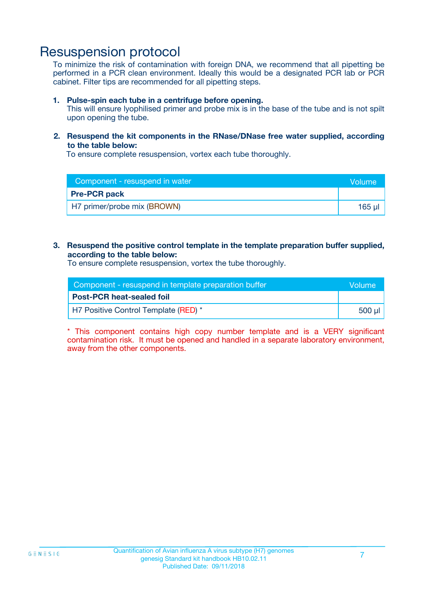### Resuspension protocol

To minimize the risk of contamination with foreign DNA, we recommend that all pipetting be performed in a PCR clean environment. Ideally this would be a designated PCR lab or PCR cabinet. Filter tips are recommended for all pipetting steps.

#### **1. Pulse-spin each tube in a centrifuge before opening.**

This will ensure lyophilised primer and probe mix is in the base of the tube and is not spilt upon opening the tube.

#### **2. Resuspend the kit components in the RNase/DNase free water supplied, according to the table below:**

To ensure complete resuspension, vortex each tube thoroughly.

| Component - resuspend in water | <b>Volume</b> |
|--------------------------------|---------------|
| <b>Pre-PCR pack</b>            |               |
| H7 primer/probe mix (BROWN)    | 165 µl        |

#### **3. Resuspend the positive control template in the template preparation buffer supplied, according to the table below:**

To ensure complete resuspension, vortex the tube thoroughly.

| Component - resuspend in template preparation buffer |        |
|------------------------------------------------------|--------|
| <b>Post-PCR heat-sealed foil</b>                     |        |
| H7 Positive Control Template (RED) *                 | 500 µl |

\* This component contains high copy number template and is a VERY significant contamination risk. It must be opened and handled in a separate laboratory environment, away from the other components.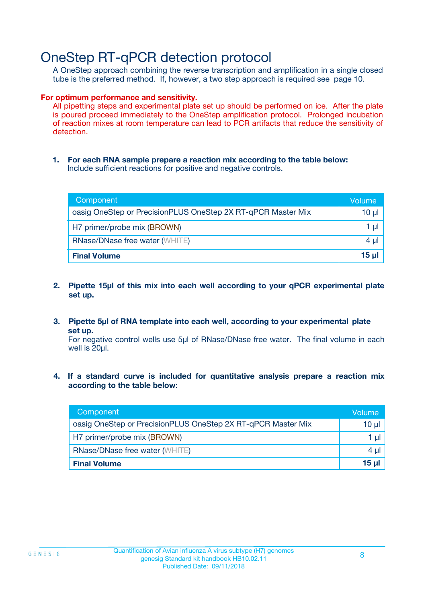# OneStep RT-qPCR detection protocol

A OneStep approach combining the reverse transcription and amplification in a single closed tube is the preferred method. If, however, a two step approach is required see page 10.

#### **For optimum performance and sensitivity.**

All pipetting steps and experimental plate set up should be performed on ice. After the plate is poured proceed immediately to the OneStep amplification protocol. Prolonged incubation of reaction mixes at room temperature can lead to PCR artifacts that reduce the sensitivity of detection.

**1. For each RNA sample prepare a reaction mix according to the table below:** Include sufficient reactions for positive and negative controls.

| Component                                                    | <b>Volume</b> |
|--------------------------------------------------------------|---------------|
| oasig OneStep or PrecisionPLUS OneStep 2X RT-qPCR Master Mix | 10 µl         |
| H7 primer/probe mix (BROWN)                                  | 1 µI          |
| <b>RNase/DNase free water (WHITE)</b>                        | 4 µl          |
| <b>Final Volume</b>                                          | <u>15 µl</u>  |

- **2. Pipette 15µl of this mix into each well according to your qPCR experimental plate set up.**
- **3. Pipette 5µl of RNA template into each well, according to your experimental plate set up.**

For negative control wells use 5µl of RNase/DNase free water. The final volume in each well is 20ul.

**4. If a standard curve is included for quantitative analysis prepare a reaction mix according to the table below:**

| Component                                                    | Volume  |
|--------------------------------------------------------------|---------|
| oasig OneStep or PrecisionPLUS OneStep 2X RT-qPCR Master Mix | 10 µl   |
| H7 primer/probe mix (BROWN)                                  | 1 ul    |
| <b>RNase/DNase free water (WHITE)</b>                        | $4 \mu$ |
| <b>Final Volume</b>                                          | 15 ul   |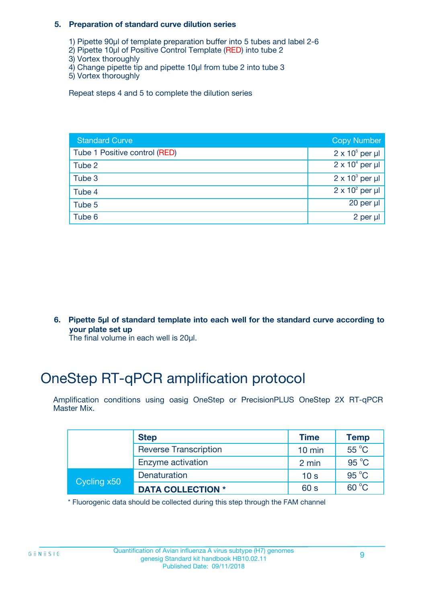#### **5. Preparation of standard curve dilution series**

- 1) Pipette 90µl of template preparation buffer into 5 tubes and label 2-6
- 2) Pipette 10µl of Positive Control Template (RED) into tube 2
- 3) Vortex thoroughly
- 4) Change pipette tip and pipette 10µl from tube 2 into tube 3
- 5) Vortex thoroughly

Repeat steps 4 and 5 to complete the dilution series

| <b>Standard Curve</b>         | <b>Copy Number</b>     |
|-------------------------------|------------------------|
| Tube 1 Positive control (RED) | $2 \times 10^5$ per µl |
| Tube 2                        | $2 \times 10^4$ per µl |
| Tube 3                        | $2 \times 10^3$ per µl |
| Tube 4                        | $2 \times 10^2$ per µl |
| Tube 5                        | 20 per $\mu$           |
| Tube 6                        | 2 per µl               |

**6. Pipette 5µl of standard template into each well for the standard curve according to your plate set up**

The final volume in each well is 20ul.

# OneStep RT-qPCR amplification protocol

Amplification conditions using oasig OneStep or PrecisionPLUS OneStep 2X RT-qPCR Master Mix.

|             | <b>Step</b>                  | <b>Time</b>      | <b>Temp</b>    |
|-------------|------------------------------|------------------|----------------|
|             | <b>Reverse Transcription</b> | $10 \text{ min}$ | 55 °C          |
|             | Enzyme activation            | 2 min            | $95^{\circ}$ C |
| Cycling x50 | Denaturation                 | 10 <sub>s</sub>  | $95^{\circ}$ C |
|             | <b>DATA COLLECTION *</b>     | 60 s             | $60^{\circ}$ C |

\* Fluorogenic data should be collected during this step through the FAM channel